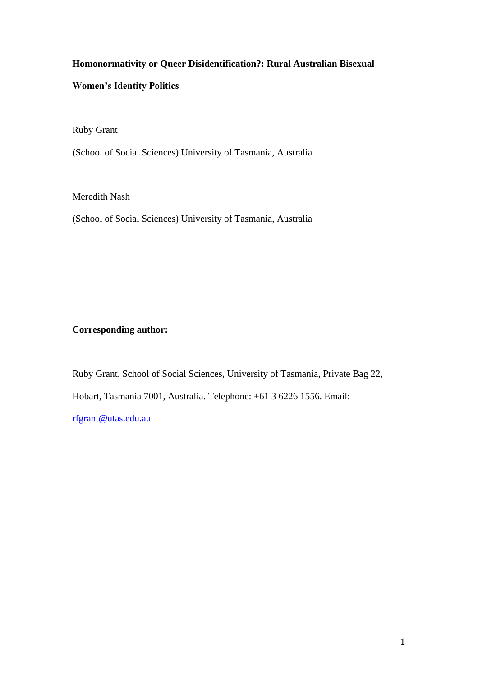# **Homonormativity or Queer Disidentification?: Rural Australian Bisexual**

# **Women's Identity Politics**

Ruby Grant

(School of Social Sciences) University of Tasmania, Australia

Meredith Nash

(School of Social Sciences) University of Tasmania, Australia

# **Corresponding author:**

Ruby Grant, School of Social Sciences, University of Tasmania, Private Bag 22, Hobart, Tasmania 7001, Australia. Telephone: +61 3 6226 1556. Email: [rfgrant@utas.edu.au](mailto:rfgrant@utas.edu.au)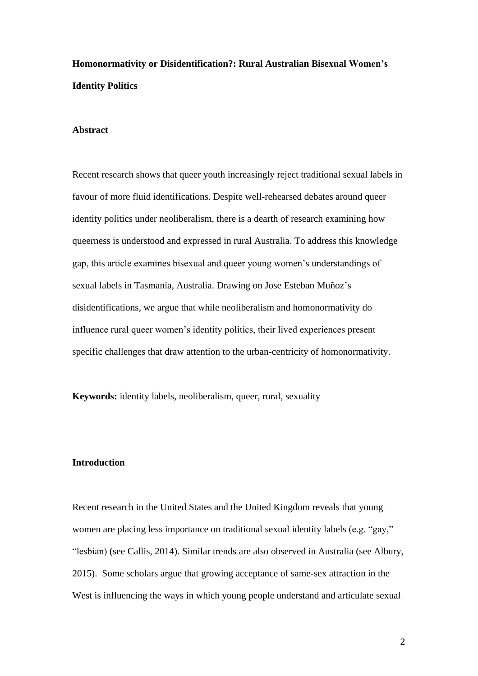# **Homonormativity or Disidentification?: Rural Australian Bisexual Women's Identity Politics**

#### **Abstract**

Recent research shows that queer youth increasingly reject traditional sexual labels in favour of more fluid identifications. Despite well-rehearsed debates around queer identity politics under neoliberalism, there is a dearth of research examining how queerness is understood and expressed in rural Australia. To address this knowledge gap, this article examines bisexual and queer young women's understandings of sexual labels in Tasmania, Australia. Drawing on Jose Esteban Muñoz's disidentifications, we argue that while neoliberalism and homonormativity do influence rural queer women's identity politics, their lived experiences present specific challenges that draw attention to the urban-centricity of homonormativity.

**Keywords:** identity labels, neoliberalism, queer, rural, sexuality

# **Introduction**

Recent research in the United States and the United Kingdom reveals that young women are placing less importance on traditional sexual identity labels (e.g. "gay," "lesbian) (see Callis, 2014). Similar trends are also observed in Australia (see Albury, 2015). Some scholars argue that growing acceptance of same-sex attraction in the West is influencing the ways in which young people understand and articulate sexual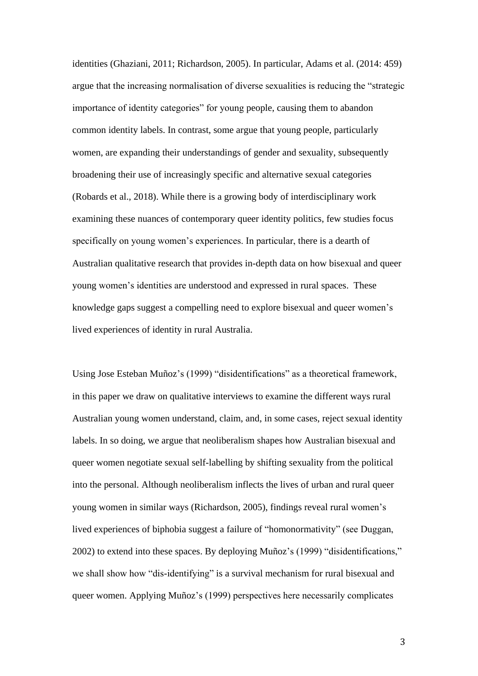identities (Ghaziani, 2011; Richardson, 2005). In particular, Adams et al. (2014: 459) argue that the increasing normalisation of diverse sexualities is reducing the "strategic importance of identity categories" for young people, causing them to abandon common identity labels. In contrast, some argue that young people, particularly women, are expanding their understandings of gender and sexuality, subsequently broadening their use of increasingly specific and alternative sexual categories (Robards et al., 2018). While there is a growing body of interdisciplinary work examining these nuances of contemporary queer identity politics, few studies focus specifically on young women's experiences. In particular, there is a dearth of Australian qualitative research that provides in-depth data on how bisexual and queer young women's identities are understood and expressed in rural spaces. These knowledge gaps suggest a compelling need to explore bisexual and queer women's lived experiences of identity in rural Australia.

Using Jose Esteban Muñoz's (1999) "disidentifications" as a theoretical framework, in this paper we draw on qualitative interviews to examine the different ways rural Australian young women understand, claim, and, in some cases, reject sexual identity labels. In so doing, we argue that neoliberalism shapes how Australian bisexual and queer women negotiate sexual self-labelling by shifting sexuality from the political into the personal. Although neoliberalism inflects the lives of urban and rural queer young women in similar ways (Richardson, 2005), findings reveal rural women's lived experiences of biphobia suggest a failure of "homonormativity" (see Duggan, 2002) to extend into these spaces. By deploying Muñoz's (1999) "disidentifications," we shall show how "dis-identifying" is a survival mechanism for rural bisexual and queer women. Applying Muñoz's (1999) perspectives here necessarily complicates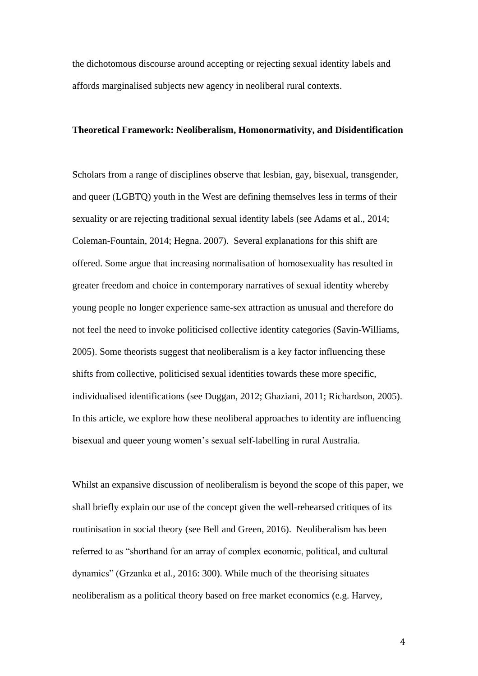the dichotomous discourse around accepting or rejecting sexual identity labels and affords marginalised subjects new agency in neoliberal rural contexts.

#### **Theoretical Framework: Neoliberalism, Homonormativity, and Disidentification**

Scholars from a range of disciplines observe that lesbian, gay, bisexual, transgender, and queer (LGBTQ) youth in the West are defining themselves less in terms of their sexuality or are rejecting traditional sexual identity labels (see Adams et al., 2014; Coleman-Fountain, 2014; Hegna. 2007). Several explanations for this shift are offered. Some argue that increasing normalisation of homosexuality has resulted in greater freedom and choice in contemporary narratives of sexual identity whereby young people no longer experience same-sex attraction as unusual and therefore do not feel the need to invoke politicised collective identity categories (Savin-Williams, 2005). Some theorists suggest that neoliberalism is a key factor influencing these shifts from collective, politicised sexual identities towards these more specific, individualised identifications (see Duggan, 2012; Ghaziani, 2011; Richardson, 2005). In this article, we explore how these neoliberal approaches to identity are influencing bisexual and queer young women's sexual self-labelling in rural Australia.

Whilst an expansive discussion of neoliberalism is beyond the scope of this paper, we shall briefly explain our use of the concept given the well-rehearsed critiques of its routinisation in social theory (see Bell and Green, 2016). Neoliberalism has been referred to as "shorthand for an array of complex economic, political, and cultural dynamics" (Grzanka et al., 2016: 300). While much of the theorising situates neoliberalism as a political theory based on free market economics (e.g. Harvey,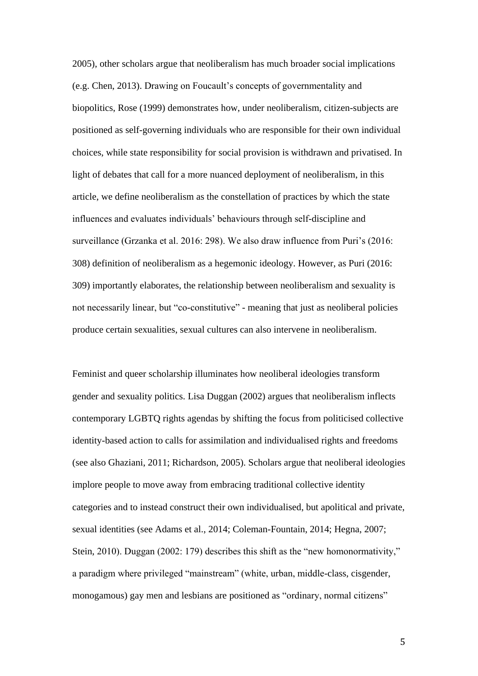2005), other scholars argue that neoliberalism has much broader social implications (e.g. Chen, 2013). Drawing on Foucault's concepts of governmentality and biopolitics, Rose (1999) demonstrates how, under neoliberalism, citizen-subjects are positioned as self-governing individuals who are responsible for their own individual choices, while state responsibility for social provision is withdrawn and privatised. In light of debates that call for a more nuanced deployment of neoliberalism, in this article, we define neoliberalism as the constellation of practices by which the state influences and evaluates individuals' behaviours through self-discipline and surveillance (Grzanka et al. 2016: 298). We also draw influence from Puri's (2016: 308) definition of neoliberalism as a hegemonic ideology. However, as Puri (2016: 309) importantly elaborates, the relationship between neoliberalism and sexuality is not necessarily linear, but "co-constitutive" - meaning that just as neoliberal policies produce certain sexualities, sexual cultures can also intervene in neoliberalism.

Feminist and queer scholarship illuminates how neoliberal ideologies transform gender and sexuality politics. Lisa Duggan (2002) argues that neoliberalism inflects contemporary LGBTQ rights agendas by shifting the focus from politicised collective identity-based action to calls for assimilation and individualised rights and freedoms (see also Ghaziani, 2011; Richardson, 2005). Scholars argue that neoliberal ideologies implore people to move away from embracing traditional collective identity categories and to instead construct their own individualised, but apolitical and private, sexual identities (see Adams et al., 2014; Coleman-Fountain, 2014; Hegna, 2007; Stein, 2010). Duggan (2002: 179) describes this shift as the "new homonormativity," a paradigm where privileged "mainstream" (white, urban, middle-class, cisgender, monogamous) gay men and lesbians are positioned as "ordinary, normal citizens"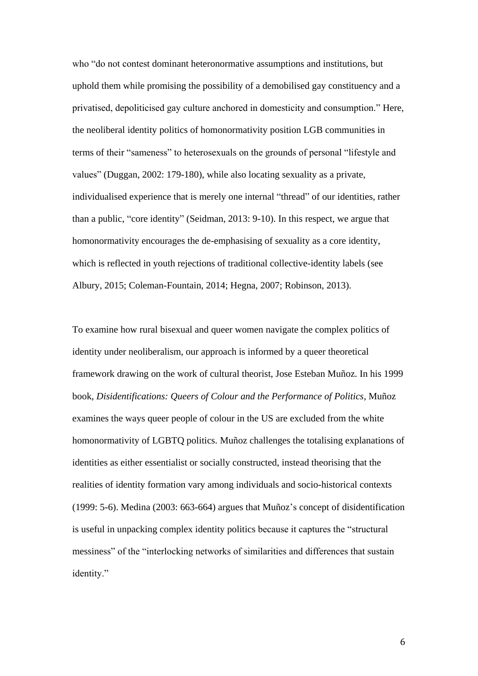who "do not contest dominant heteronormative assumptions and institutions, but uphold them while promising the possibility of a demobilised gay constituency and a privatised, depoliticised gay culture anchored in domesticity and consumption." Here, the neoliberal identity politics of homonormativity position LGB communities in terms of their "sameness" to heterosexuals on the grounds of personal "lifestyle and values" (Duggan, 2002: 179-180), while also locating sexuality as a private, individualised experience that is merely one internal "thread" of our identities, rather than a public, "core identity" (Seidman, 2013: 9-10). In this respect, we argue that homonormativity encourages the de-emphasising of sexuality as a core identity, which is reflected in youth rejections of traditional collective-identity labels (see Albury, 2015; Coleman-Fountain, 2014; Hegna, 2007; Robinson, 2013).

To examine how rural bisexual and queer women navigate the complex politics of identity under neoliberalism, our approach is informed by a queer theoretical framework drawing on the work of cultural theorist, Jose Esteban Muñoz. In his 1999 book, *Disidentifications: Queers of Colour and the Performance of Politics*, Muñoz examines the ways queer people of colour in the US are excluded from the white homonormativity of LGBTQ politics. Muñoz challenges the totalising explanations of identities as either essentialist or socially constructed, instead theorising that the realities of identity formation vary among individuals and socio-historical contexts (1999: 5-6). Medina (2003: 663-664) argues that Muñoz's concept of disidentification is useful in unpacking complex identity politics because it captures the "structural messiness" of the "interlocking networks of similarities and differences that sustain identity."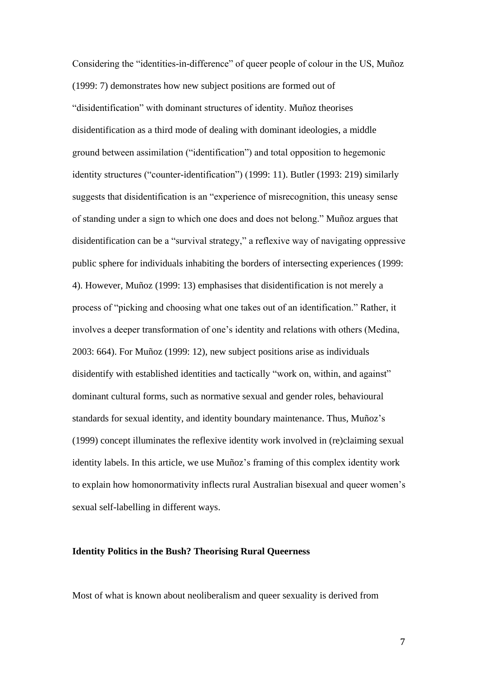Considering the "identities-in-difference" of queer people of colour in the US, Muñoz (1999: 7) demonstrates how new subject positions are formed out of "disidentification" with dominant structures of identity. Muñoz theorises disidentification as a third mode of dealing with dominant ideologies, a middle ground between assimilation ("identification") and total opposition to hegemonic identity structures ("counter-identification") (1999: 11). Butler (1993: 219) similarly suggests that disidentification is an "experience of misrecognition, this uneasy sense of standing under a sign to which one does and does not belong." Muñoz argues that disidentification can be a "survival strategy," a reflexive way of navigating oppressive public sphere for individuals inhabiting the borders of intersecting experiences (1999: 4). However, Muñoz (1999: 13) emphasises that disidentification is not merely a process of "picking and choosing what one takes out of an identification." Rather, it involves a deeper transformation of one's identity and relations with others (Medina, 2003: 664). For Muñoz (1999: 12), new subject positions arise as individuals disidentify with established identities and tactically "work on, within, and against" dominant cultural forms, such as normative sexual and gender roles, behavioural standards for sexual identity, and identity boundary maintenance. Thus, Muñoz's (1999) concept illuminates the reflexive identity work involved in (re)claiming sexual identity labels. In this article, we use Muñoz's framing of this complex identity work to explain how homonormativity inflects rural Australian bisexual and queer women's sexual self-labelling in different ways.

#### **Identity Politics in the Bush? Theorising Rural Queerness**

Most of what is known about neoliberalism and queer sexuality is derived from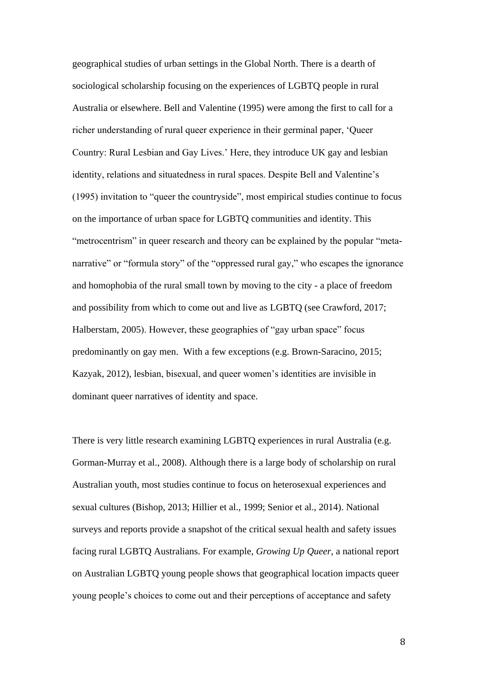geographical studies of urban settings in the Global North. There is a dearth of sociological scholarship focusing on the experiences of LGBTQ people in rural Australia or elsewhere. Bell and Valentine (1995) were among the first to call for a richer understanding of rural queer experience in their germinal paper, 'Queer Country: Rural Lesbian and Gay Lives.' Here, they introduce UK gay and lesbian identity, relations and situatedness in rural spaces. Despite Bell and Valentine's (1995) invitation to "queer the countryside", most empirical studies continue to focus on the importance of urban space for LGBTQ communities and identity. This "metrocentrism" in queer research and theory can be explained by the popular "metanarrative" or "formula story" of the "oppressed rural gay," who escapes the ignorance and homophobia of the rural small town by moving to the city - a place of freedom and possibility from which to come out and live as LGBTQ (see Crawford, 2017; Halberstam, 2005). However, these geographies of "gay urban space" focus predominantly on gay men. With a few exceptions (e.g. Brown-Saracino, 2015; Kazyak, 2012), lesbian, bisexual, and queer women's identities are invisible in dominant queer narratives of identity and space.

There is very little research examining LGBTQ experiences in rural Australia (e.g. Gorman-Murray et al., 2008). Although there is a large body of scholarship on rural Australian youth, most studies continue to focus on heterosexual experiences and sexual cultures (Bishop, 2013; Hillier et al., 1999; Senior et al., 2014). National surveys and reports provide a snapshot of the critical sexual health and safety issues facing rural LGBTQ Australians. For example, *Growing Up Queer*, a national report on Australian LGBTQ young people shows that geographical location impacts queer young people's choices to come out and their perceptions of acceptance and safety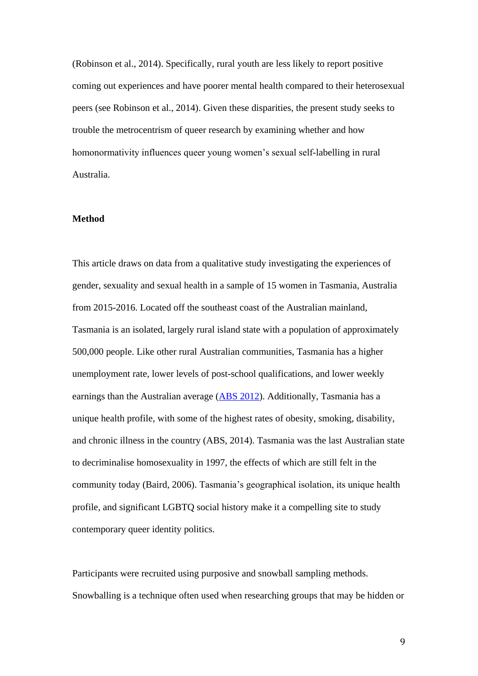(Robinson et al., 2014). Specifically, rural youth are less likely to report positive coming out experiences and have poorer mental health compared to their heterosexual peers (see Robinson et al., 2014). Given these disparities, the present study seeks to trouble the metrocentrism of queer research by examining whether and how homonormativity influences queer young women's sexual self-labelling in rural Australia.

#### **Method**

This article draws on data from a qualitative study investigating the experiences of gender, sexuality and sexual health in a sample of 15 women in Tasmania, Australia from 2015-2016. Located off the southeast coast of the Australian mainland, Tasmania is an isolated, largely rural island state with a population of approximately 500,000 people. Like other rural Australian communities, Tasmania has a higher unemployment rate, lower levels of post-school qualifications, and lower weekly earnings than the Australian average [\(ABS 2012\)](http://www.abs.gov.au/ausstats/abs@.nsf/Lookup/by+Subject/1367.0~2012~Main+Features~Tasmania~20). Additionally, Tasmania has a unique health profile, with some of the highest rates of obesity, smoking, disability, and chronic illness in the country (ABS, 2014). Tasmania was the last Australian state to decriminalise homosexuality in 1997, the effects of which are still felt in the community today (Baird, 2006). Tasmania's geographical isolation, its unique health profile, and significant LGBTQ social history make it a compelling site to study contemporary queer identity politics.

Participants were recruited using purposive and snowball sampling methods. Snowballing is a technique often used when researching groups that may be hidden or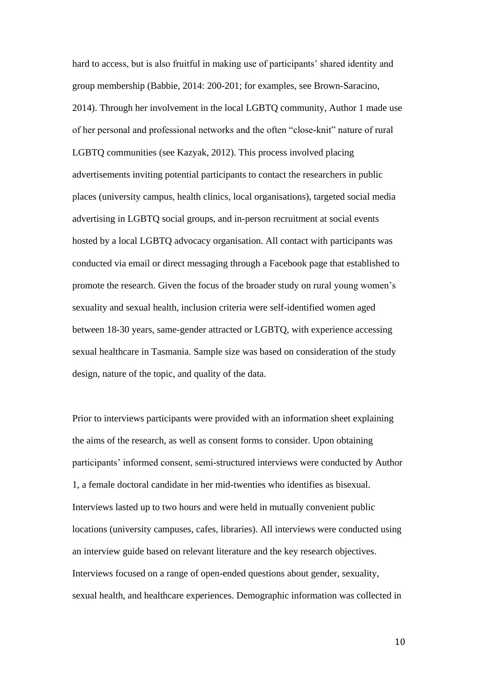hard to access, but is also fruitful in making use of participants' shared identity and group membership (Babbie, 2014: 200-201; for examples, see Brown-Saracino, 2014). Through her involvement in the local LGBTQ community, Author 1 made use of her personal and professional networks and the often "close-knit" nature of rural LGBTQ communities (see Kazyak, 2012). This process involved placing advertisements inviting potential participants to contact the researchers in public places (university campus, health clinics, local organisations), targeted social media advertising in LGBTQ social groups, and in-person recruitment at social events hosted by a local LGBTQ advocacy organisation. All contact with participants was conducted via email or direct messaging through a Facebook page that established to promote the research. Given the focus of the broader study on rural young women's sexuality and sexual health, inclusion criteria were self-identified women aged between 18-30 years, same-gender attracted or LGBTQ, with experience accessing sexual healthcare in Tasmania. Sample size was based on consideration of the study design, nature of the topic, and quality of the data.

Prior to interviews participants were provided with an information sheet explaining the aims of the research, as well as consent forms to consider. Upon obtaining participants' informed consent, semi-structured interviews were conducted by Author 1, a female doctoral candidate in her mid-twenties who identifies as bisexual. Interviews lasted up to two hours and were held in mutually convenient public locations (university campuses, cafes, libraries). All interviews were conducted using an interview guide based on relevant literature and the key research objectives. Interviews focused on a range of open-ended questions about gender, sexuality, sexual health, and healthcare experiences. Demographic information was collected in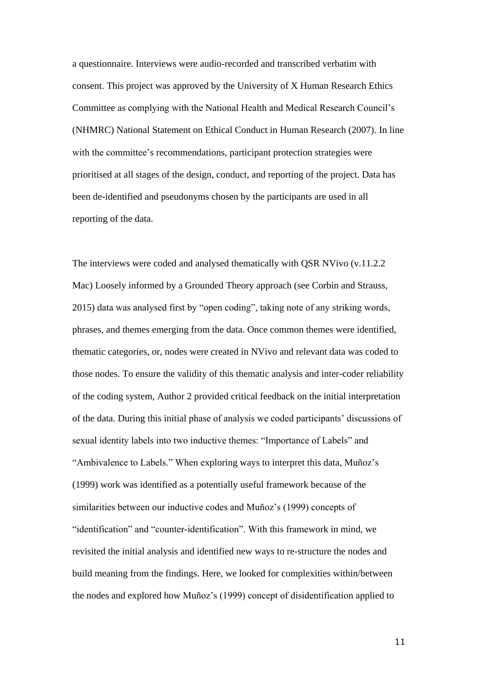a questionnaire. Interviews were audio-recorded and transcribed verbatim with consent. This project was approved by the University of X Human Research Ethics Committee as complying with the National Health and Medical Research Council's (NHMRC) National Statement on Ethical Conduct in Human Research (2007). In line with the committee's recommendations, participant protection strategies were prioritised at all stages of the design, conduct, and reporting of the project. Data has been de-identified and pseudonyms chosen by the participants are used in all reporting of the data.

The interviews were coded and analysed thematically with QSR NVivo (v.11.2.2 Mac) Loosely informed by a Grounded Theory approach (see Corbin and Strauss, 2015) data was analysed first by "open coding", taking note of any striking words, phrases, and themes emerging from the data. Once common themes were identified, thematic categories, or, nodes were created in NVivo and relevant data was coded to those nodes. To ensure the validity of this thematic analysis and inter-coder reliability of the coding system, Author 2 provided critical feedback on the initial interpretation of the data. During this initial phase of analysis we coded participants' discussions of sexual identity labels into two inductive themes: "Importance of Labels" and "Ambivalence to Labels." When exploring ways to interpret this data, Muñoz's (1999) work was identified as a potentially useful framework because of the similarities between our inductive codes and Muñoz's (1999) concepts of "identification" and "counter-identification". With this framework in mind, we revisited the initial analysis and identified new ways to re-structure the nodes and build meaning from the findings. Here, we looked for complexities within/between the nodes and explored how Muñoz's (1999) concept of disidentification applied to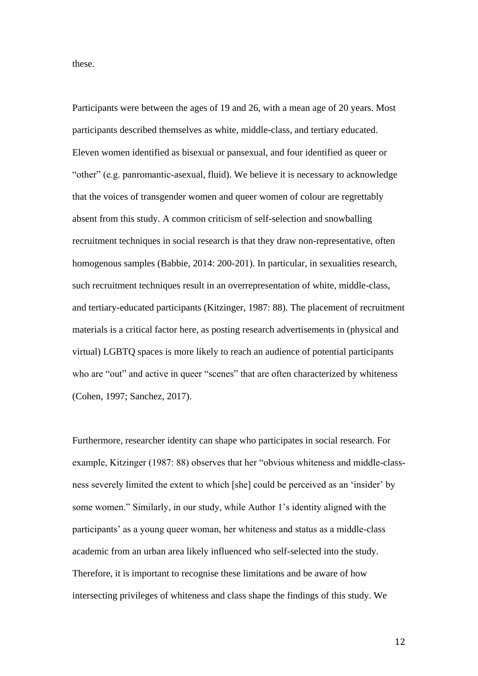these.

Participants were between the ages of 19 and 26, with a mean age of 20 years. Most participants described themselves as white, middle-class, and tertiary educated. Eleven women identified as bisexual or pansexual, and four identified as queer or "other" (e.g. panromantic-asexual, fluid). We believe it is necessary to acknowledge that the voices of transgender women and queer women of colour are regrettably absent from this study. A common criticism of self-selection and snowballing recruitment techniques in social research is that they draw non-representative, often homogenous samples (Babbie, 2014: 200-201). In particular, in sexualities research, such recruitment techniques result in an overrepresentation of white, middle-class, and tertiary-educated participants (Kitzinger, 1987: 88). The placement of recruitment materials is a critical factor here, as posting research advertisements in (physical and virtual) LGBTQ spaces is more likely to reach an audience of potential participants who are "out" and active in queer "scenes" that are often characterized by whiteness (Cohen, 1997; Sanchez, 2017).

Furthermore, researcher identity can shape who participates in social research. For example, Kitzinger (1987: 88) observes that her "obvious whiteness and middle-classness severely limited the extent to which [she] could be perceived as an 'insider' by some women." Similarly, in our study, while Author 1's identity aligned with the participants' as a young queer woman, her whiteness and status as a middle-class academic from an urban area likely influenced who self-selected into the study. Therefore, it is important to recognise these limitations and be aware of how intersecting privileges of whiteness and class shape the findings of this study. We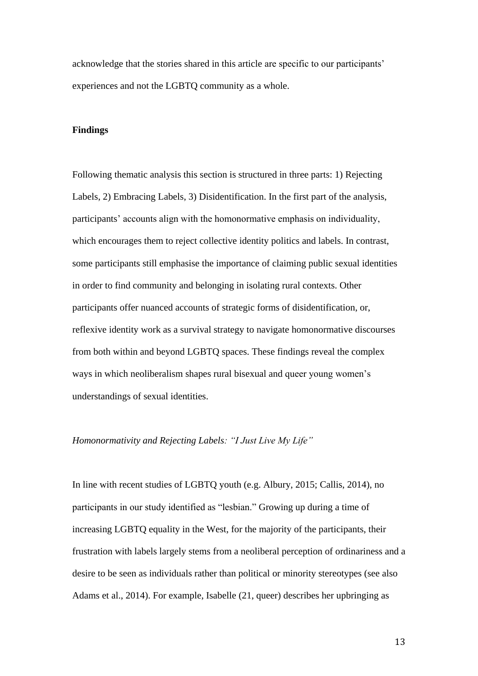acknowledge that the stories shared in this article are specific to our participants' experiences and not the LGBTQ community as a whole.

## **Findings**

Following thematic analysis this section is structured in three parts: 1) Rejecting Labels, 2) Embracing Labels, 3) Disidentification. In the first part of the analysis, participants' accounts align with the homonormative emphasis on individuality, which encourages them to reject collective identity politics and labels. In contrast, some participants still emphasise the importance of claiming public sexual identities in order to find community and belonging in isolating rural contexts. Other participants offer nuanced accounts of strategic forms of disidentification, or, reflexive identity work as a survival strategy to navigate homonormative discourses from both within and beyond LGBTQ spaces. These findings reveal the complex ways in which neoliberalism shapes rural bisexual and queer young women's understandings of sexual identities.

#### *Homonormativity and Rejecting Labels: "I Just Live My Life"*

In line with recent studies of LGBTQ youth (e.g. Albury, 2015; Callis, 2014), no participants in our study identified as "lesbian." Growing up during a time of increasing LGBTQ equality in the West, for the majority of the participants, their frustration with labels largely stems from a neoliberal perception of ordinariness and a desire to be seen as individuals rather than political or minority stereotypes (see also Adams et al., 2014). For example, Isabelle (21, queer) describes her upbringing as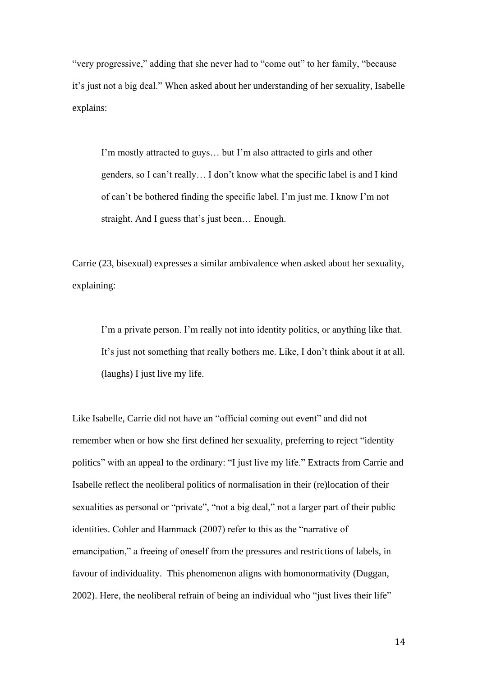"very progressive," adding that she never had to "come out" to her family, "because it's just not a big deal." When asked about her understanding of her sexuality, Isabelle explains:

I'm mostly attracted to guys… but I'm also attracted to girls and other genders, so I can't really… I don't know what the specific label is and I kind of can't be bothered finding the specific label. I'm just me. I know I'm not straight. And I guess that's just been… Enough.

Carrie (23, bisexual) expresses a similar ambivalence when asked about her sexuality, explaining:

I'm a private person. I'm really not into identity politics, or anything like that. It's just not something that really bothers me. Like, I don't think about it at all. (laughs) I just live my life.

Like Isabelle, Carrie did not have an "official coming out event" and did not remember when or how she first defined her sexuality, preferring to reject "identity politics" with an appeal to the ordinary: "I just live my life." Extracts from Carrie and Isabelle reflect the neoliberal politics of normalisation in their (re)location of their sexualities as personal or "private", "not a big deal," not a larger part of their public identities. Cohler and Hammack (2007) refer to this as the "narrative of emancipation," a freeing of oneself from the pressures and restrictions of labels, in favour of individuality. This phenomenon aligns with homonormativity (Duggan, 2002). Here, the neoliberal refrain of being an individual who "just lives their life"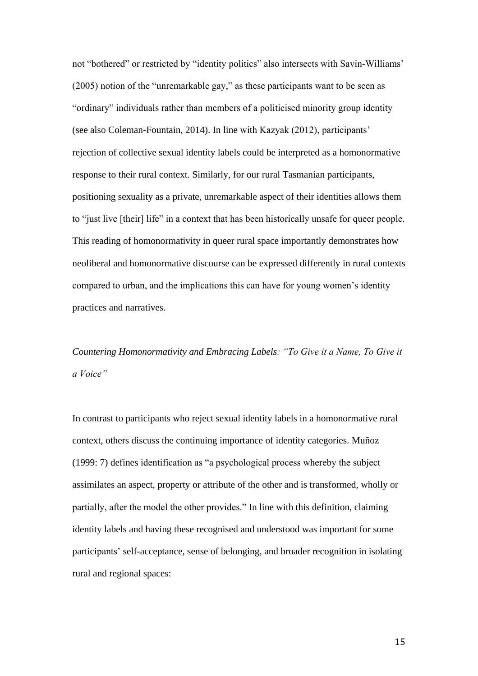not "bothered" or restricted by "identity politics" also intersects with Savin-Williams' (2005) notion of the "unremarkable gay," as these participants want to be seen as "ordinary" individuals rather than members of a politicised minority group identity (see also Coleman-Fountain, 2014). In line with Kazyak (2012), participants' rejection of collective sexual identity labels could be interpreted as a homonormative response to their rural context. Similarly, for our rural Tasmanian participants, positioning sexuality as a private, unremarkable aspect of their identities allows them to "just live [their] life" in a context that has been historically unsafe for queer people. This reading of homonormativity in queer rural space importantly demonstrates how neoliberal and homonormative discourse can be expressed differently in rural contexts compared to urban, and the implications this can have for young women's identity practices and narratives.

*Countering Homonormativity and Embracing Labels: "To Give it a Name, To Give it a Voice"*

In contrast to participants who reject sexual identity labels in a homonormative rural context, others discuss the continuing importance of identity categories. Muñoz (1999: 7) defines identification as "a psychological process whereby the subject assimilates an aspect, property or attribute of the other and is transformed, wholly or partially, after the model the other provides." In line with this definition, claiming identity labels and having these recognised and understood was important for some participants' self-acceptance, sense of belonging, and broader recognition in isolating rural and regional spaces: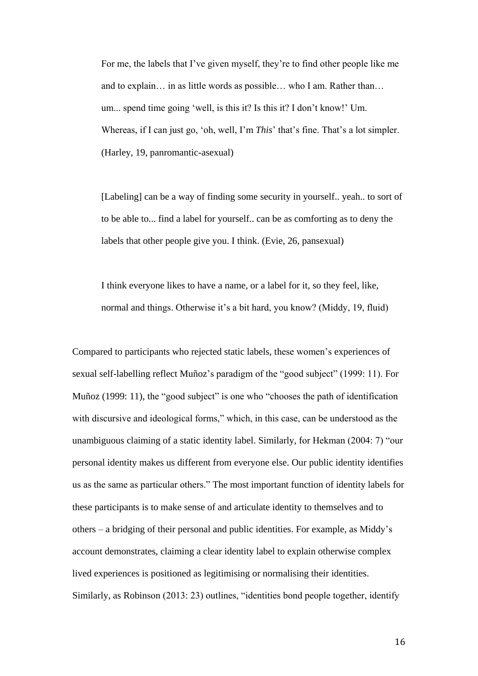For me, the labels that I've given myself, they're to find other people like me and to explain… in as little words as possible… who I am. Rather than… um... spend time going 'well, is this it? Is this it? I don't know!' Um. Whereas, if I can just go, 'oh, well, I'm *This*' that's fine. That's a lot simpler. (Harley, 19, panromantic-asexual)

[Labeling] can be a way of finding some security in yourself.. yeah.. to sort of to be able to... find a label for yourself.. can be as comforting as to deny the labels that other people give you. I think. (Evie, 26, pansexual)

I think everyone likes to have a name, or a label for it, so they feel, like, normal and things. Otherwise it's a bit hard, you know? (Middy, 19, fluid)

Compared to participants who rejected static labels, these women's experiences of sexual self-labelling reflect Muñoz's paradigm of the "good subject" (1999: 11). For Muñoz (1999: 11), the "good subject" is one who "chooses the path of identification with discursive and ideological forms," which, in this case, can be understood as the unambiguous claiming of a static identity label. Similarly, for Hekman (2004: 7) "our personal identity makes us different from everyone else. Our public identity identifies us as the same as particular others." The most important function of identity labels for these participants is to make sense of and articulate identity to themselves and to others – a bridging of their personal and public identities. For example, as Middy's account demonstrates, claiming a clear identity label to explain otherwise complex lived experiences is positioned as legitimising or normalising their identities. Similarly, as Robinson (2013: 23) outlines, "identities bond people together, identify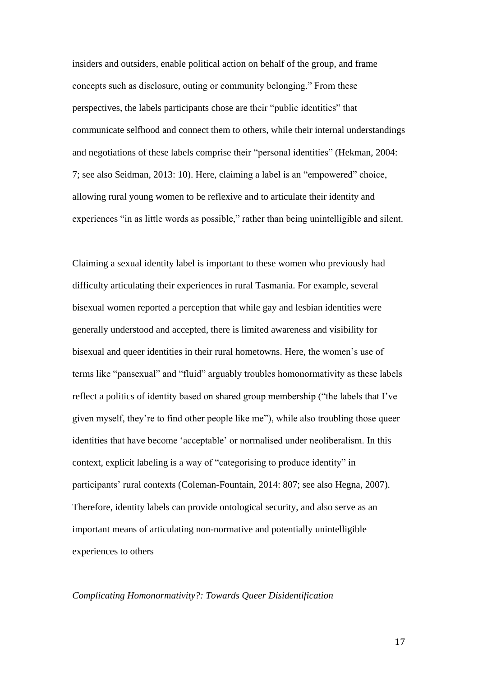insiders and outsiders, enable political action on behalf of the group, and frame concepts such as disclosure, outing or community belonging." From these perspectives, the labels participants chose are their "public identities" that communicate selfhood and connect them to others, while their internal understandings and negotiations of these labels comprise their "personal identities" (Hekman, 2004: 7; see also Seidman, 2013: 10). Here, claiming a label is an "empowered" choice, allowing rural young women to be reflexive and to articulate their identity and experiences "in as little words as possible," rather than being unintelligible and silent.

Claiming a sexual identity label is important to these women who previously had difficulty articulating their experiences in rural Tasmania. For example, several bisexual women reported a perception that while gay and lesbian identities were generally understood and accepted, there is limited awareness and visibility for bisexual and queer identities in their rural hometowns. Here, the women's use of terms like "pansexual" and "fluid" arguably troubles homonormativity as these labels reflect a politics of identity based on shared group membership ("the labels that I've given myself, they're to find other people like me"), while also troubling those queer identities that have become 'acceptable' or normalised under neoliberalism. In this context, explicit labeling is a way of "categorising to produce identity" in participants' rural contexts (Coleman-Fountain, 2014: 807; see also Hegna, 2007). Therefore, identity labels can provide ontological security, and also serve as an important means of articulating non-normative and potentially unintelligible experiences to others

#### *Complicating Homonormativity?: Towards Queer Disidentification*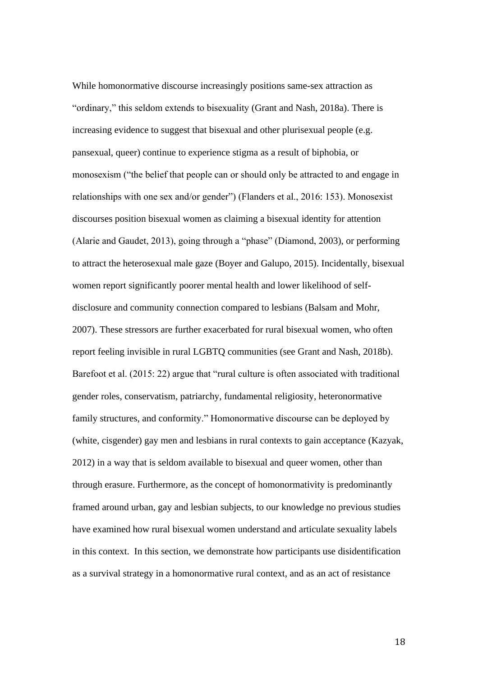While homonormative discourse increasingly positions same-sex attraction as "ordinary," this seldom extends to bisexuality (Grant and Nash, 2018a). There is increasing evidence to suggest that bisexual and other plurisexual people (e.g. pansexual, queer) continue to experience stigma as a result of biphobia, or monosexism ("the belief that people can or should only be attracted to and engage in relationships with one sex and/or gender") (Flanders et al., 2016: 153). Monosexist discourses position bisexual women as claiming a bisexual identity for attention (Alarie and Gaudet, 2013), going through a "phase" (Diamond, 2003), or performing to attract the heterosexual male gaze (Boyer and Galupo, 2015). Incidentally, bisexual women report significantly poorer mental health and lower likelihood of selfdisclosure and community connection compared to lesbians (Balsam and Mohr, 2007). These stressors are further exacerbated for rural bisexual women, who often report feeling invisible in rural LGBTQ communities (see Grant and Nash, 2018b). Barefoot et al. (2015: 22) argue that "rural culture is often associated with traditional gender roles, conservatism, patriarchy, fundamental religiosity, heteronormative family structures, and conformity." Homonormative discourse can be deployed by (white, cisgender) gay men and lesbians in rural contexts to gain acceptance (Kazyak, 2012) in a way that is seldom available to bisexual and queer women, other than through erasure. Furthermore, as the concept of homonormativity is predominantly framed around urban, gay and lesbian subjects, to our knowledge no previous studies have examined how rural bisexual women understand and articulate sexuality labels in this context. In this section, we demonstrate how participants use disidentification as a survival strategy in a homonormative rural context, and as an act of resistance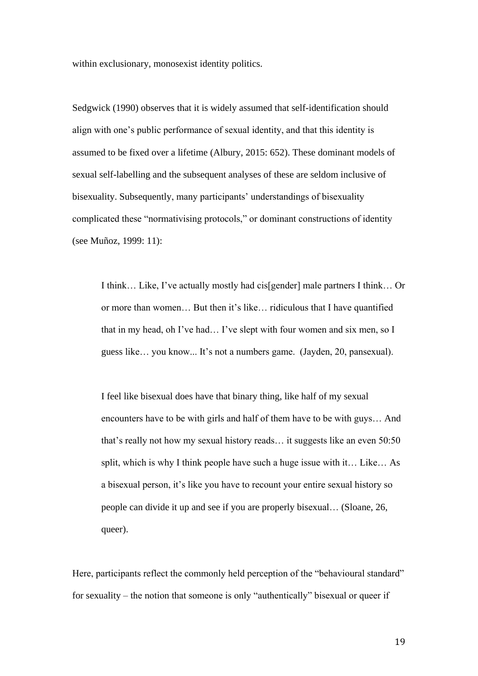within exclusionary, monosexist identity politics.

Sedgwick (1990) observes that it is widely assumed that self-identification should align with one's public performance of sexual identity, and that this identity is assumed to be fixed over a lifetime (Albury, 2015: 652). These dominant models of sexual self-labelling and the subsequent analyses of these are seldom inclusive of bisexuality. Subsequently, many participants' understandings of bisexuality complicated these "normativising protocols," or dominant constructions of identity (see Muñoz, 1999: 11):

I think… Like, I've actually mostly had cis[gender] male partners I think… Or or more than women… But then it's like… ridiculous that I have quantified that in my head, oh I've had… I've slept with four women and six men, so I guess like… you know... It's not a numbers game. (Jayden, 20, pansexual).

I feel like bisexual does have that binary thing, like half of my sexual encounters have to be with girls and half of them have to be with guys… And that's really not how my sexual history reads… it suggests like an even 50:50 split, which is why I think people have such a huge issue with it… Like… As a bisexual person, it's like you have to recount your entire sexual history so people can divide it up and see if you are properly bisexual… (Sloane, 26, queer).

Here, participants reflect the commonly held perception of the "behavioural standard" for sexuality – the notion that someone is only "authentically" bisexual or queer if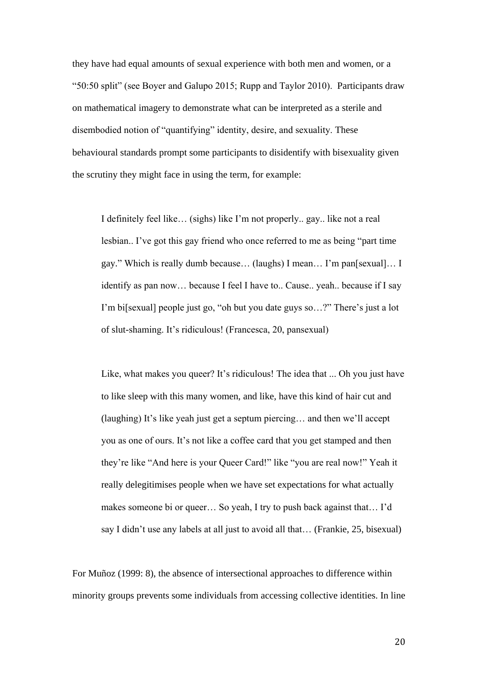they have had equal amounts of sexual experience with both men and women, or a "50:50 split" (see Boyer and Galupo 2015; Rupp and Taylor 2010). Participants draw on mathematical imagery to demonstrate what can be interpreted as a sterile and disembodied notion of "quantifying" identity, desire, and sexuality. These behavioural standards prompt some participants to disidentify with bisexuality given the scrutiny they might face in using the term, for example:

I definitely feel like… (sighs) like I'm not properly.. gay.. like not a real lesbian.. I've got this gay friend who once referred to me as being "part time gay." Which is really dumb because… (laughs) I mean… I'm pan[sexual]… I identify as pan now… because I feel I have to.. Cause.. yeah.. because if I say I'm bi[sexual] people just go, "oh but you date guys so…?" There's just a lot of slut-shaming. It's ridiculous! (Francesca, 20, pansexual)

Like, what makes you queer? It's ridiculous! The idea that ... Oh you just have to like sleep with this many women, and like, have this kind of hair cut and (laughing) It's like yeah just get a septum piercing… and then we'll accept you as one of ours. It's not like a coffee card that you get stamped and then they're like "And here is your Queer Card!" like "you are real now!" Yeah it really delegitimises people when we have set expectations for what actually makes someone bi or queer… So yeah, I try to push back against that… I'd say I didn't use any labels at all just to avoid all that… (Frankie, 25, bisexual)

For Muñoz (1999: 8), the absence of intersectional approaches to difference within minority groups prevents some individuals from accessing collective identities. In line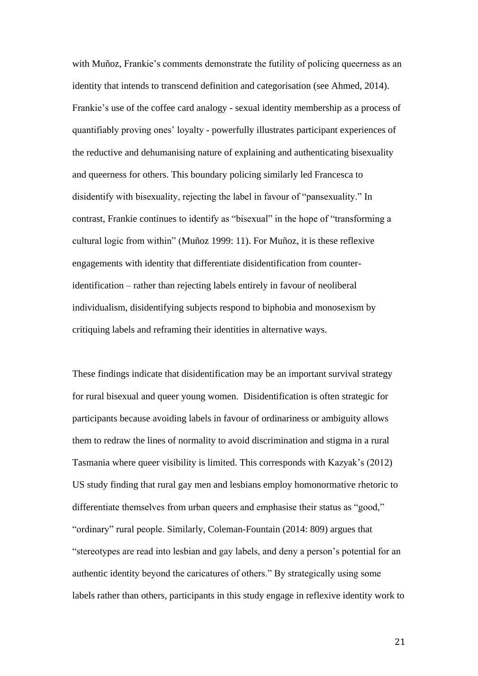with Muñoz, Frankie's comments demonstrate the futility of policing queerness as an identity that intends to transcend definition and categorisation (see Ahmed, 2014). Frankie's use of the coffee card analogy - sexual identity membership as a process of quantifiably proving ones' loyalty - powerfully illustrates participant experiences of the reductive and dehumanising nature of explaining and authenticating bisexuality and queerness for others. This boundary policing similarly led Francesca to disidentify with bisexuality, rejecting the label in favour of "pansexuality." In contrast, Frankie continues to identify as "bisexual" in the hope of "transforming a cultural logic from within" (Muñoz 1999: 11). For Muñoz, it is these reflexive engagements with identity that differentiate disidentification from counteridentification – rather than rejecting labels entirely in favour of neoliberal individualism, disidentifying subjects respond to biphobia and monosexism by critiquing labels and reframing their identities in alternative ways.

These findings indicate that disidentification may be an important survival strategy for rural bisexual and queer young women. Disidentification is often strategic for participants because avoiding labels in favour of ordinariness or ambiguity allows them to redraw the lines of normality to avoid discrimination and stigma in a rural Tasmania where queer visibility is limited. This corresponds with Kazyak's (2012) US study finding that rural gay men and lesbians employ homonormative rhetoric to differentiate themselves from urban queers and emphasise their status as "good," "ordinary" rural people. Similarly, Coleman-Fountain (2014: 809) argues that "stereotypes are read into lesbian and gay labels, and deny a person's potential for an authentic identity beyond the caricatures of others." By strategically using some labels rather than others, participants in this study engage in reflexive identity work to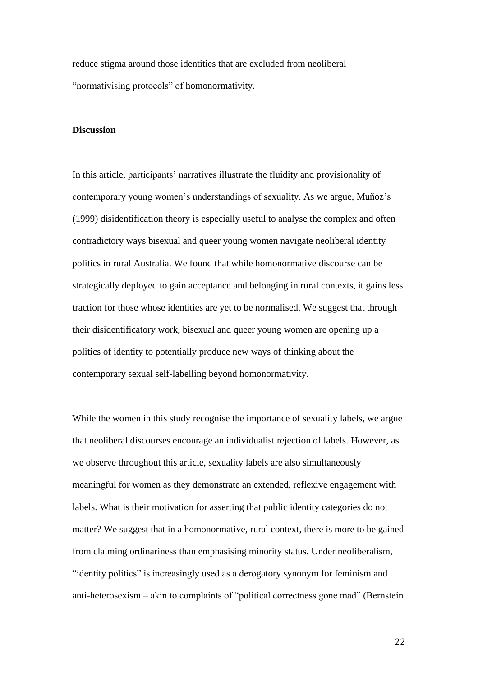reduce stigma around those identities that are excluded from neoliberal "normativising protocols" of homonormativity.

## **Discussion**

In this article, participants' narratives illustrate the fluidity and provisionality of contemporary young women's understandings of sexuality. As we argue, Muñoz's (1999) disidentification theory is especially useful to analyse the complex and often contradictory ways bisexual and queer young women navigate neoliberal identity politics in rural Australia. We found that while homonormative discourse can be strategically deployed to gain acceptance and belonging in rural contexts, it gains less traction for those whose identities are yet to be normalised. We suggest that through their disidentificatory work, bisexual and queer young women are opening up a politics of identity to potentially produce new ways of thinking about the contemporary sexual self-labelling beyond homonormativity.

While the women in this study recognise the importance of sexuality labels, we argue that neoliberal discourses encourage an individualist rejection of labels. However, as we observe throughout this article, sexuality labels are also simultaneously meaningful for women as they demonstrate an extended, reflexive engagement with labels. What is their motivation for asserting that public identity categories do not matter? We suggest that in a homonormative, rural context, there is more to be gained from claiming ordinariness than emphasising minority status. Under neoliberalism, "identity politics" is increasingly used as a derogatory synonym for feminism and anti-heterosexism – akin to complaints of "political correctness gone mad" (Bernstein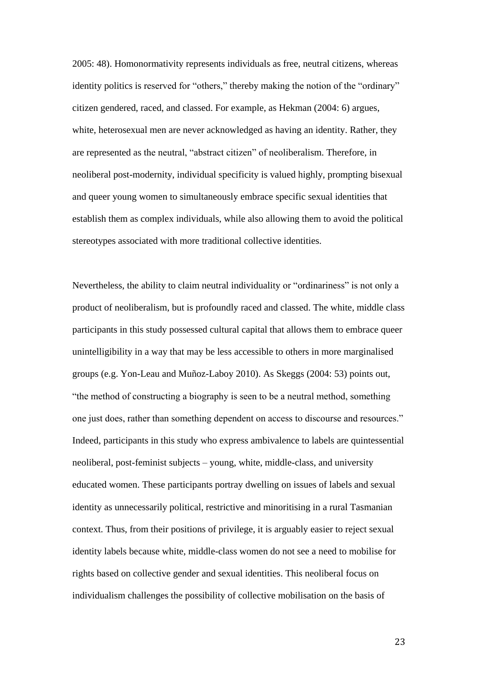2005: 48). Homonormativity represents individuals as free, neutral citizens, whereas identity politics is reserved for "others," thereby making the notion of the "ordinary" citizen gendered, raced, and classed. For example, as Hekman (2004: 6) argues, white, heterosexual men are never acknowledged as having an identity. Rather, they are represented as the neutral, "abstract citizen" of neoliberalism. Therefore, in neoliberal post-modernity, individual specificity is valued highly, prompting bisexual and queer young women to simultaneously embrace specific sexual identities that establish them as complex individuals, while also allowing them to avoid the political stereotypes associated with more traditional collective identities.

Nevertheless, the ability to claim neutral individuality or "ordinariness" is not only a product of neoliberalism, but is profoundly raced and classed. The white, middle class participants in this study possessed cultural capital that allows them to embrace queer unintelligibility in a way that may be less accessible to others in more marginalised groups (e.g. Yon-Leau and Muñoz-Laboy 2010). As Skeggs (2004: 53) points out, "the method of constructing a biography is seen to be a neutral method, something one just does, rather than something dependent on access to discourse and resources." Indeed, participants in this study who express ambivalence to labels are quintessential neoliberal, post-feminist subjects – young, white, middle-class, and university educated women. These participants portray dwelling on issues of labels and sexual identity as unnecessarily political, restrictive and minoritising in a rural Tasmanian context. Thus, from their positions of privilege, it is arguably easier to reject sexual identity labels because white, middle-class women do not see a need to mobilise for rights based on collective gender and sexual identities. This neoliberal focus on individualism challenges the possibility of collective mobilisation on the basis of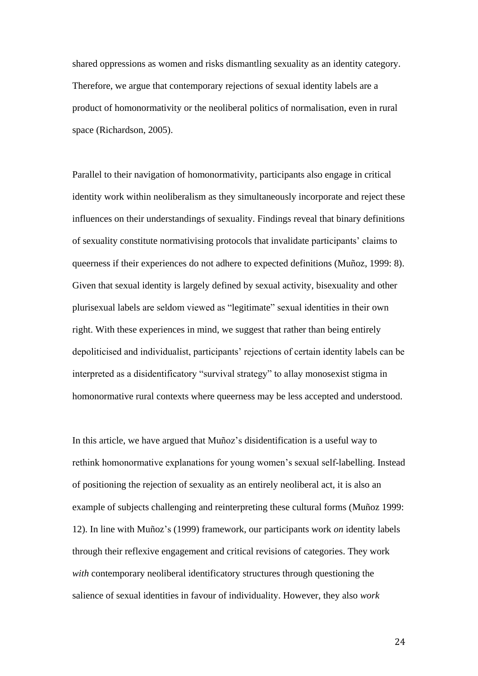shared oppressions as women and risks dismantling sexuality as an identity category. Therefore, we argue that contemporary rejections of sexual identity labels are a product of homonormativity or the neoliberal politics of normalisation, even in rural space (Richardson, 2005).

Parallel to their navigation of homonormativity, participants also engage in critical identity work within neoliberalism as they simultaneously incorporate and reject these influences on their understandings of sexuality. Findings reveal that binary definitions of sexuality constitute normativising protocols that invalidate participants' claims to queerness if their experiences do not adhere to expected definitions (Muñoz, 1999: 8). Given that sexual identity is largely defined by sexual activity, bisexuality and other plurisexual labels are seldom viewed as "legitimate" sexual identities in their own right. With these experiences in mind, we suggest that rather than being entirely depoliticised and individualist, participants' rejections of certain identity labels can be interpreted as a disidentificatory "survival strategy" to allay monosexist stigma in homonormative rural contexts where queerness may be less accepted and understood.

In this article, we have argued that Muñoz's disidentification is a useful way to rethink homonormative explanations for young women's sexual self-labelling. Instead of positioning the rejection of sexuality as an entirely neoliberal act, it is also an example of subjects challenging and reinterpreting these cultural forms (Muñoz 1999: 12). In line with Muñoz's (1999) framework, our participants work *on* identity labels through their reflexive engagement and critical revisions of categories. They work *with* contemporary neoliberal identificatory structures through questioning the salience of sexual identities in favour of individuality. However, they also *work*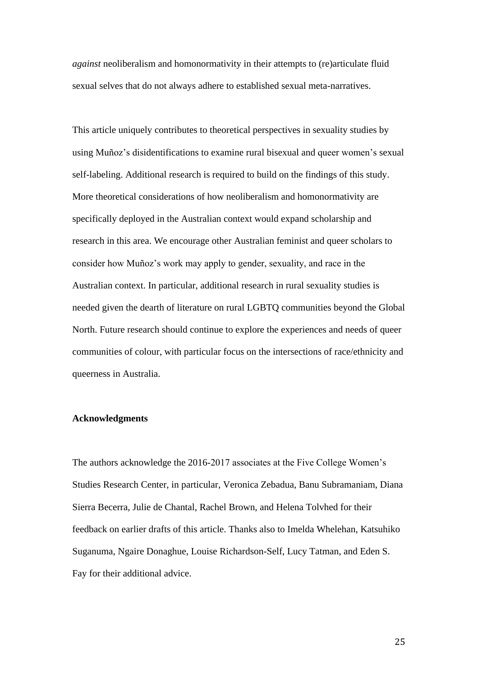*against* neoliberalism and homonormativity in their attempts to (re)articulate fluid sexual selves that do not always adhere to established sexual meta-narratives.

This article uniquely contributes to theoretical perspectives in sexuality studies by using Muñoz's disidentifications to examine rural bisexual and queer women's sexual self-labeling. Additional research is required to build on the findings of this study. More theoretical considerations of how neoliberalism and homonormativity are specifically deployed in the Australian context would expand scholarship and research in this area. We encourage other Australian feminist and queer scholars to consider how Muñoz's work may apply to gender, sexuality, and race in the Australian context. In particular, additional research in rural sexuality studies is needed given the dearth of literature on rural LGBTQ communities beyond the Global North. Future research should continue to explore the experiences and needs of queer communities of colour, with particular focus on the intersections of race/ethnicity and queerness in Australia.

## **Acknowledgments**

The authors acknowledge the 2016-2017 associates at the Five College Women's Studies Research Center, in particular, Veronica Zebadua, Banu Subramaniam, Diana Sierra Becerra, Julie de Chantal, Rachel Brown, and Helena Tolvhed for their feedback on earlier drafts of this article. Thanks also to Imelda Whelehan, Katsuhiko Suganuma, Ngaire Donaghue, Louise Richardson-Self, Lucy Tatman, and Eden S. Fay for their additional advice.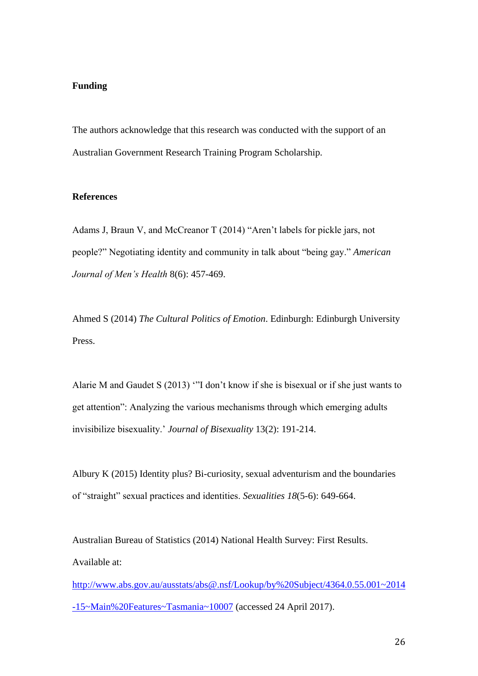# **Funding**

The authors acknowledge that this research was conducted with the support of an Australian Government Research Training Program Scholarship.

#### **References**

Adams J, Braun V, and McCreanor T (2014) "Aren't labels for pickle jars, not people?" Negotiating identity and community in talk about "being gay." *American Journal of Men's Health* 8(6): 457-469.

Ahmed S (2014) *The Cultural Politics of Emotion*. Edinburgh: Edinburgh University Press.

Alarie M and Gaudet S (2013) '"I don't know if she is bisexual or if she just wants to get attention": Analyzing the various mechanisms through which emerging adults invisibilize bisexuality.' *Journal of Bisexuality* 13(2): 191-214.

Albury K (2015) Identity plus? Bi-curiosity, sexual adventurism and the boundaries of "straight" sexual practices and identities. *Sexualities 18*(5-6): 649-664.

Australian Bureau of Statistics (2014) National Health Survey: First Results. Available at:

[http://www.abs.gov.au/ausstats/abs@.nsf/Lookup/by%20Subject/4364.0.55.001~2014](http://www.abs.gov.au/ausstats/abs@.nsf/Lookup/by%20Subject/4364.0.55.001~2014-15~Main%20Features~Tasmania~10007) [-15~Main%20Features~Tasmania~10007](http://www.abs.gov.au/ausstats/abs@.nsf/Lookup/by%20Subject/4364.0.55.001~2014-15~Main%20Features~Tasmania~10007) (accessed 24 April 2017).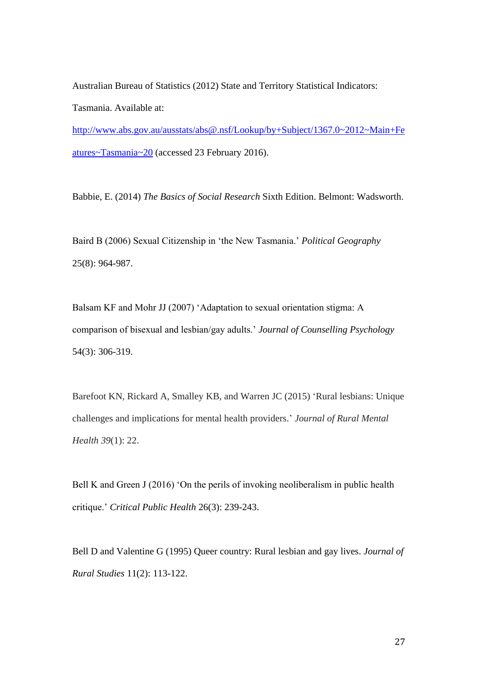Australian Bureau of Statistics (2012) State and Territory Statistical Indicators: Tasmania. Available at:

[http://www.abs.gov.au/ausstats/abs@.nsf/Lookup/by+Subject/1367.0~2012~Main+Fe](http://www.abs.gov.au/ausstats/abs@.nsf/Lookup/by+Subject/1367.0~2012~Main+Features~Tasmania~20) [atures~Tasmania~20](http://www.abs.gov.au/ausstats/abs@.nsf/Lookup/by+Subject/1367.0~2012~Main+Features~Tasmania~20) (accessed 23 February 2016).

Babbie, E. (2014) *The Basics of Social Research* Sixth Edition. Belmont: Wadsworth.

Baird B (2006) Sexual Citizenship in 'the New Tasmania.' *Political Geography* 25(8): 964-987.

Balsam KF and Mohr JJ (2007) 'Adaptation to sexual orientation stigma: A comparison of bisexual and lesbian/gay adults.' *Journal of Counselling Psychology* 54(3): 306-319.

Barefoot KN, Rickard A, Smalley KB, and Warren JC (2015) 'Rural lesbians: Unique challenges and implications for mental health providers.' *Journal of Rural Mental Health 39*(1): 22.

Bell K and Green J (2016) 'On the perils of invoking neoliberalism in public health critique.' *Critical Public Health* 26(3): 239-243.

Bell D and Valentine G (1995) Queer country: Rural lesbian and gay lives. *Journal of Rural Studies* 11(2): 113-122.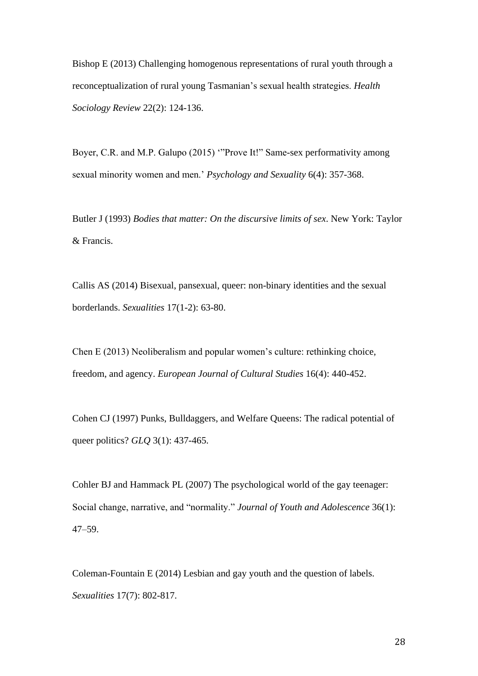Bishop E (2013) Challenging homogenous representations of rural youth through a reconceptualization of rural young Tasmanian's sexual health strategies. *Health Sociology Review* 22(2): 124-136.

Boyer, C.R. and M.P. Galupo (2015) '"Prove It!" Same-sex performativity among sexual minority women and men.' *Psychology and Sexuality* 6(4): 357-368.

Butler J (1993) *Bodies that matter: On the discursive limits of sex*. New York: Taylor & Francis.

Callis AS (2014) Bisexual, pansexual, queer: non-binary identities and the sexual borderlands. *Sexualities* 17(1-2): 63-80.

Chen E (2013) Neoliberalism and popular women's culture: rethinking choice, freedom, and agency. *European Journal of Cultural Studies* 16(4): 440-452.

Cohen CJ (1997) Punks, Bulldaggers, and Welfare Queens: The radical potential of queer politics? *GLQ* 3(1): 437-465.

Cohler BJ and Hammack PL (2007) The psychological world of the gay teenager: Social change, narrative, and "normality." *Journal of Youth and Adolescence* 36(1): 47–59.

Coleman-Fountain E (2014) Lesbian and gay youth and the question of labels. *Sexualities* 17(7): 802-817.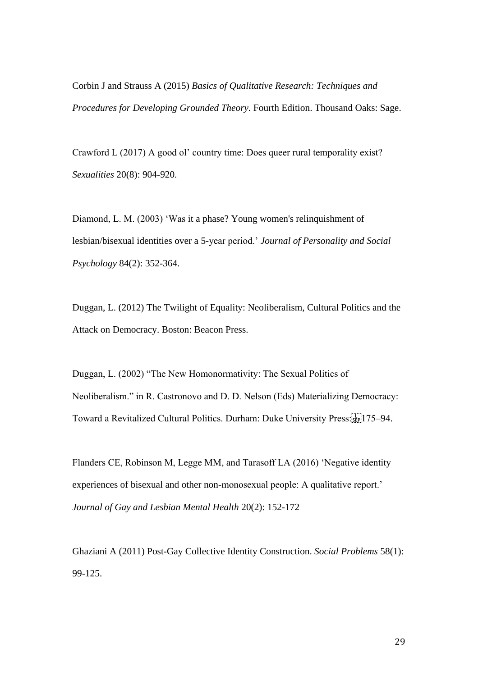Corbin J and Strauss A (2015) *Basics of Qualitative Research: Techniques and Procedures for Developing Grounded Theory.* Fourth Edition. Thousand Oaks: Sage.

Crawford L (2017) A good ol' country time: Does queer rural temporality exist? *Sexualities* 20(8): 904-920.

Diamond, L. M. (2003) 'Was it a phase? Young women's relinquishment of lesbian/bisexual identities over a 5-year period.' *Journal of Personality and Social Psychology* 84(2): 352-364.

Duggan, L. (2012) The Twilight of Equality: Neoliberalism, Cultural Politics and the Attack on Democracy. Boston: Beacon Press.

Duggan, L. (2002) "The New Homonormativity: The Sexual Politics of Neoliberalism." in R. Castronovo and D. D. Nelson (Eds) Materializing Democracy: Toward a Revitalized Cultural Politics. Durham: Duke University Press:
175–94.

Flanders CE, Robinson M, Legge MM, and Tarasoff LA (2016) 'Negative identity experiences of bisexual and other non-monosexual people: A qualitative report.' *Journal of Gay and Lesbian Mental Health* 20(2): 152-172

Ghaziani A (2011) Post-Gay Collective Identity Construction. *Social Problems* 58(1): 99-125.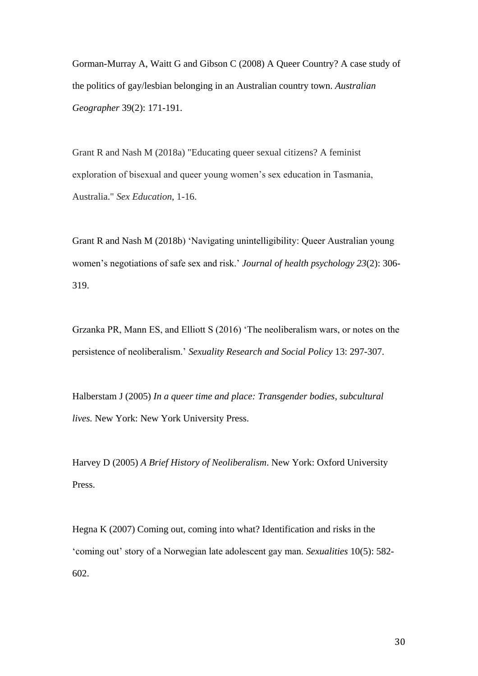Gorman-Murray A, Waitt G and Gibson C (2008) A Queer Country? A case study of the politics of gay/lesbian belonging in an Australian country town. *Australian Geographer* 39(2): 171-191.

Grant R and Nash M (2018a) "Educating queer sexual citizens? A feminist exploration of bisexual and queer young women's sex education in Tasmania, Australia." *Sex Education*, 1-16.

Grant R and Nash M (2018b) 'Navigating unintelligibility: Queer Australian young women's negotiations of safe sex and risk.' *Journal of health psychology 23*(2): 306- 319.

Grzanka PR, Mann ES, and Elliott S (2016) 'The neoliberalism wars, or notes on the persistence of neoliberalism.' *Sexuality Research and Social Policy* 13: 297-307.

Halberstam J (2005) *In a queer time and place: Transgender bodies, subcultural lives.* New York: New York University Press.

Harvey D (2005) *A Brief History of Neoliberalism*. New York: Oxford University Press.

Hegna K (2007) Coming out, coming into what? Identification and risks in the 'coming out' story of a Norwegian late adolescent gay man. *Sexualities* 10(5): 582- 602.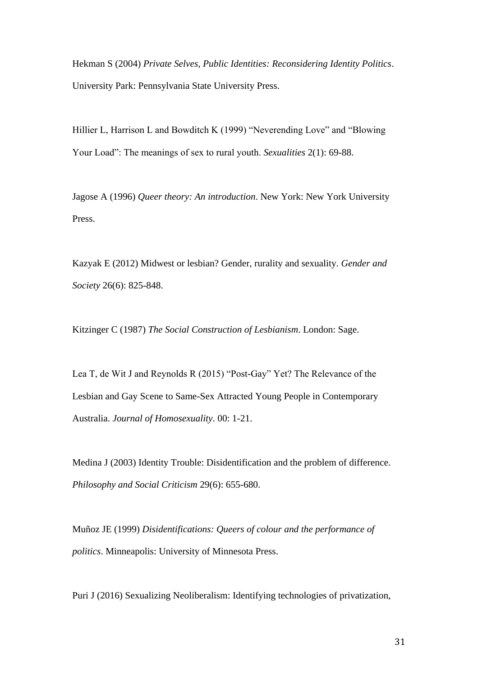Hekman S (2004) *Private Selves, Public Identities: Reconsidering Identity Politics*. University Park: Pennsylvania State University Press.

Hillier L, Harrison L and Bowditch K (1999) "Neverending Love" and "Blowing Your Load": The meanings of sex to rural youth. *Sexualities* 2(1): 69-88.

Jagose A (1996) *Queer theory: An introduction*. New York: New York University Press.

Kazyak E (2012) Midwest or lesbian? Gender, rurality and sexuality. *Gender and Society* 26(6): 825-848.

Kitzinger C (1987) *The Social Construction of Lesbianism*. London: Sage.

Lea T, de Wit J and Reynolds R (2015) "Post-Gay" Yet? The Relevance of the Lesbian and Gay Scene to Same-Sex Attracted Young People in Contemporary Australia. *Journal of Homosexuality*. 00: 1-21.

Medina J (2003) Identity Trouble: Disidentification and the problem of difference. *Philosophy and Social Criticism* 29(6): 655-680.

Muñoz JE (1999) *Disidentifications: Queers of colour and the performance of politics*. Minneapolis: University of Minnesota Press.

Puri J (2016) Sexualizing Neoliberalism: Identifying technologies of privatization,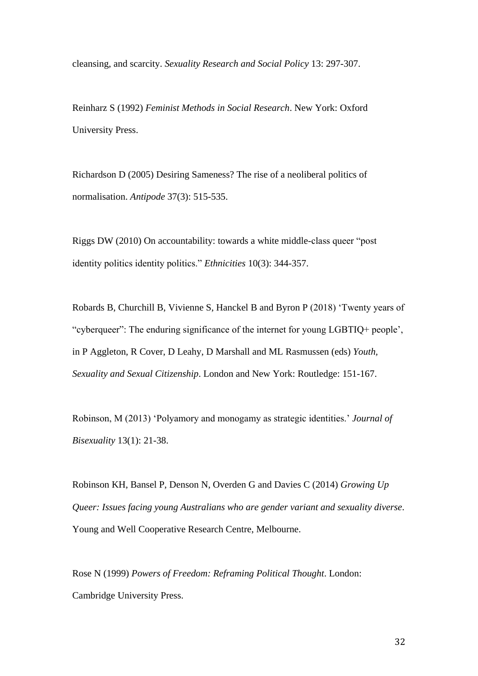cleansing, and scarcity. *Sexuality Research and Social Policy* 13: 297-307.

Reinharz S (1992) *Feminist Methods in Social Research*. New York: Oxford University Press.

Richardson D (2005) Desiring Sameness? The rise of a neoliberal politics of normalisation. *Antipode* 37(3): 515-535.

Riggs DW (2010) On accountability: towards a white middle-class queer "post identity politics identity politics." *Ethnicities* 10(3): 344-357.

Robards B, Churchill B, Vivienne S, Hanckel B and Byron P (2018) 'Twenty years of "cyberqueer": The enduring significance of the internet for young LGBTIQ+ people', in P Aggleton, R Cover, D Leahy, D Marshall and ML Rasmussen (eds) *Youth, Sexuality and Sexual Citizenship*. London and New York: Routledge: 151-167.

Robinson, M (2013) 'Polyamory and monogamy as strategic identities.' *Journal of Bisexuality* 13(1): 21-38.

Robinson KH, Bansel P, Denson N, Overden G and Davies C (2014) *Growing Up Queer: Issues facing young Australians who are gender variant and sexuality diverse*. Young and Well Cooperative Research Centre, Melbourne.

Rose N (1999) *Powers of Freedom: Reframing Political Thought*. London: Cambridge University Press.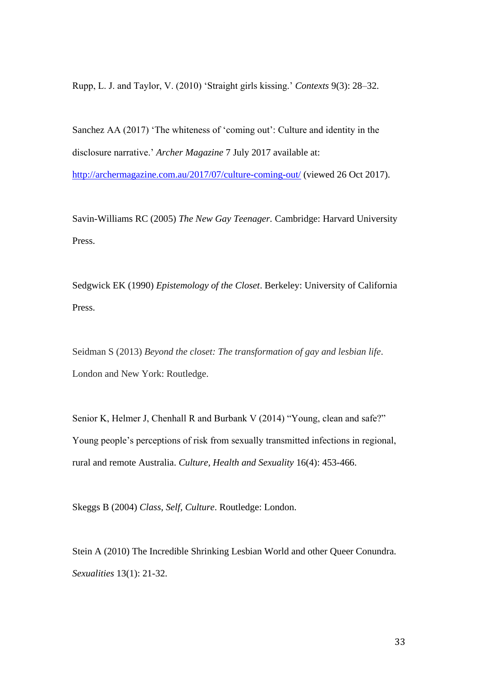Rupp, L. J. and Taylor, V. (2010) 'Straight girls kissing.' *Contexts* 9(3): 28–32.

Sanchez AA (2017) 'The whiteness of 'coming out': Culture and identity in the disclosure narrative.' *Archer Magazine* 7 July 2017 available at:

<http://archermagazine.com.au/2017/07/culture-coming-out/> (viewed 26 Oct 2017).

Savin-Williams RC (2005) *The New Gay Teenager.* Cambridge: Harvard University Press.

Sedgwick EK (1990) *Epistemology of the Closet*. Berkeley: University of California Press.

Seidman S (2013) *Beyond the closet: The transformation of gay and lesbian life*. London and New York: Routledge.

Senior K, Helmer J, Chenhall R and Burbank V (2014) "Young, clean and safe?" Young people's perceptions of risk from sexually transmitted infections in regional, rural and remote Australia. *Culture, Health and Sexuality* 16(4): 453-466.

Skeggs B (2004) *Class, Self, Culture*. Routledge: London.

Stein A (2010) The Incredible Shrinking Lesbian World and other Queer Conundra. *Sexualities* 13(1): 21-32.